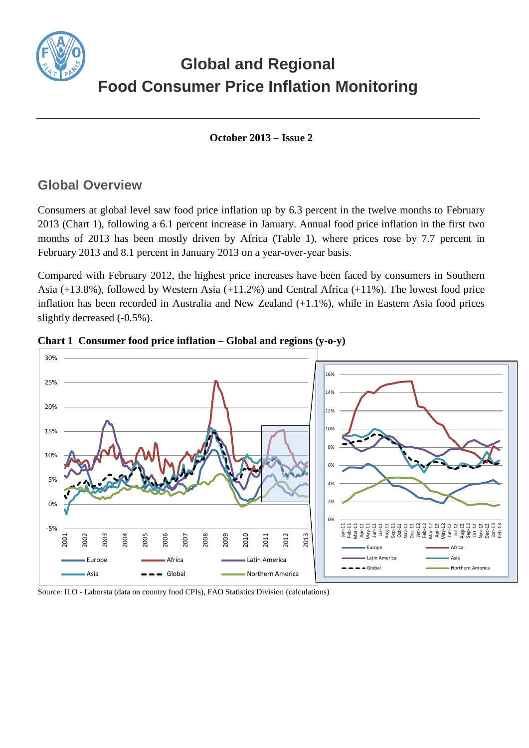

# **Global and Regional Food Consumer Price Inflation Monitoring**

**October 2013 – Issue 2**

## **Global Overview**

Consumers at global level saw food price inflation up by 6.3 percent in the twelve months to February 2013 (Chart 1), following a 6.1 percent increase in January. Annual food price inflation in the first two months of 2013 has been mostly driven by Africa (Table 1), where prices rose by 7.7 percent in February 2013 and 8.1 percent in January 2013 on a year-over-year basis.

Compared with February 2012, the highest price increases have been faced by consumers in Southern Asia (+13.8%), followed by Western Asia (+11.2%) and Central Africa (+11%). The lowest food price inflation has been recorded in Australia and New Zealand (+1.1%), while in Eastern Asia food prices slightly decreased  $(-0.5\%)$ .



**Chart 1 Consumer food price inflation – Global and regions (y-o-y)**

Source: ILO - Laborsta (data on country food CPIs), FAO Statistics Division (calculations)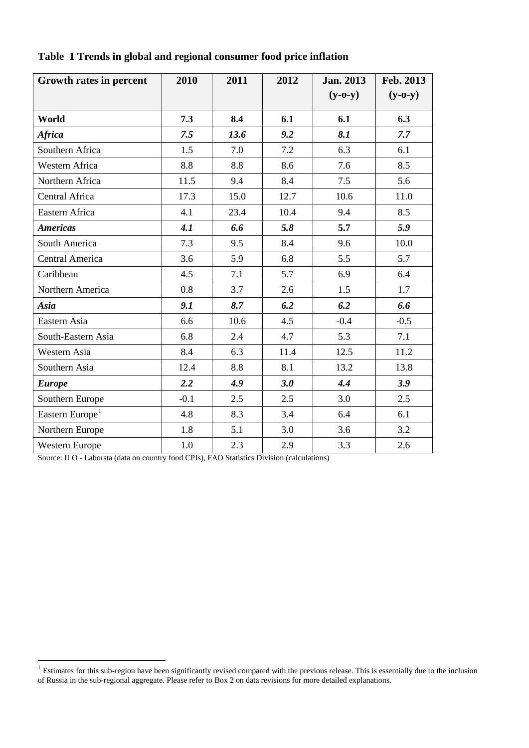| Growth rates in percent     | 2010   | 2011 | 2012 | <b>Jan. 2013</b> | Feb. 2013 |
|-----------------------------|--------|------|------|------------------|-----------|
|                             |        |      |      | $(y-o-y)$        | $(y-o-y)$ |
| World                       | 7.3    | 8.4  | 6.1  | 6.1              | 6.3       |
| <b>Africa</b>               | 7.5    | 13.6 | 9.2  | 8.1              | 7.7       |
| Southern Africa             | 1.5    | 7.0  | 7.2  | 6.3              | 6.1       |
| Western Africa              | 8.8    | 8.8  | 8.6  | 7.6              | 8.5       |
| Northern Africa             | 11.5   | 9.4  | 8.4  | 7.5              | 5.6       |
| Central Africa              | 17.3   | 15.0 | 12.7 | 10.6             | 11.0      |
| Eastern Africa              | 4.1    | 23.4 | 10.4 | 9.4              | 8.5       |
| <b>Americas</b>             | 4.1    | 6.6  | 5.8  | 5.7              | 5.9       |
| South America               | 7.3    | 9.5  | 8.4  | 9.6              | 10.0      |
| Central America             | 3.6    | 5.9  | 6.8  | 5.5              | 5.7       |
| Caribbean                   | 4.5    | 7.1  | 5.7  | 6.9              | 6.4       |
| Northern America            | 0.8    | 3.7  | 2.6  | 1.5              | 1.7       |
| Asia                        | 9.1    | 8.7  | 6.2  | 6.2              | 6.6       |
| Eastern Asia                | 6.6    | 10.6 | 4.5  | $-0.4$           | $-0.5$    |
| South-Eastern Asia          | 6.8    | 2.4  | 4.7  | 5.3              | 7.1       |
| Western Asia                | 8.4    | 6.3  | 11.4 | 12.5             | 11.2      |
| Southern Asia               | 12.4   | 8.8  | 8.1  | 13.2             | 13.8      |
| <b>Europe</b>               | 2.2    | 4.9  | 3.0  | 4.4              | 3.9       |
| Southern Europe             | $-0.1$ | 2.5  | 2.5  | 3.0              | 2.5       |
| Eastern Europe <sup>1</sup> | 4.8    | 8.3  | 3.4  | 6.4              | 6.1       |
| Northern Europe             | 1.8    | 5.1  | 3.0  | 3.6              | 3.2       |
| <b>Western Europe</b>       | 1.0    | 2.3  | 2.9  | 3.3              | 2.6       |

**Table 1 Trends in global and regional consumer food price inflation** 

Source: ILO - Laborsta (data on country food CPIs), FAO Statistics Division (calculations)

 $\overline{a}$ 

<span id="page-1-0"></span> $1$  Estimates for this sub-region have been significantly revised compared with the previous release. This is essentially due to the inclusion of Russia in the sub-regional aggregate. Please refer to Box 2 on data revisions for more detailed explanations.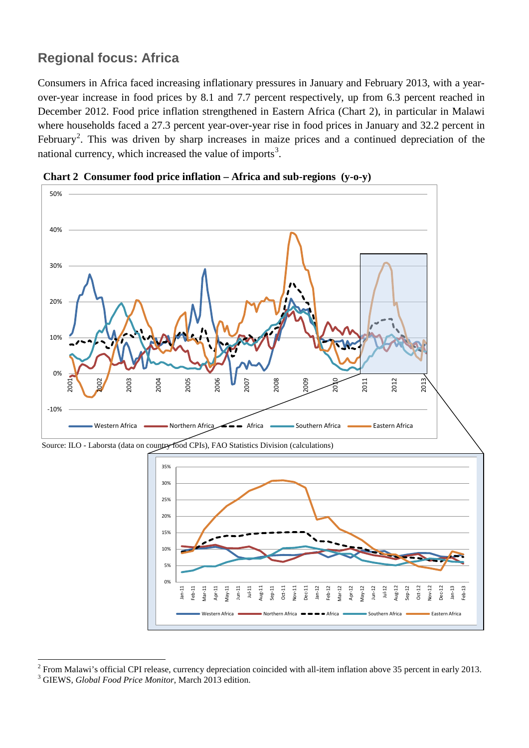# **Regional focus: Africa**

 $\overline{a}$ 

Consumers in Africa faced increasing inflationary pressures in January and February 2013, with a yearover-year increase in food prices by 8.1 and 7.7 percent respectively, up from 6.3 percent reached in December 2012. Food price inflation strengthened in Eastern Africa (Chart 2), in particular in Malawi where households faced a 27.3 percent year-over-year rise in food prices in January and 32.2 percent in February<sup>[2](#page-2-0)</sup>. This was driven by sharp increases in maize prices and a continued depreciation of the national currency, which increased the value of imports<sup>[3](#page-2-1)</sup>.





<span id="page-2-1"></span><span id="page-2-0"></span><sup>&</sup>lt;sup>2</sup> From Malawi's official CPI release, currency depreciation coincided with all-item inflation above 35 percent in early 2013.<br><sup>3</sup> GIEWS, *Global Food Price Monitor*, March 2013 edition.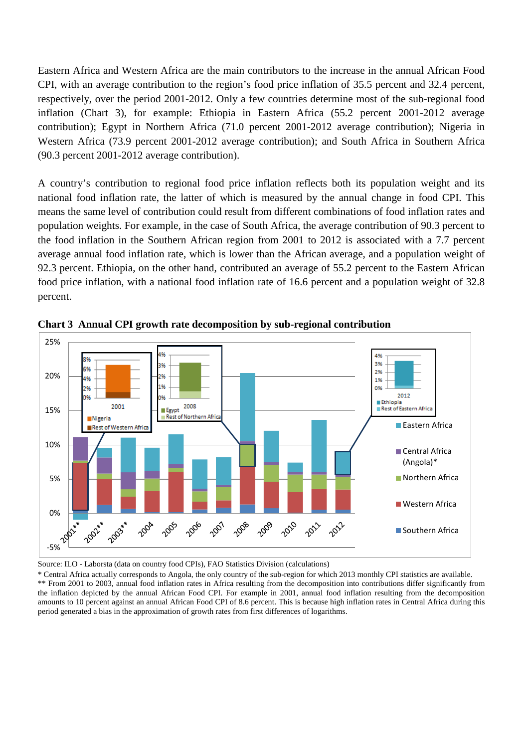Eastern Africa and Western Africa are the main contributors to the increase in the annual African Food CPI, with an average contribution to the region's food price inflation of 35.5 percent and 32.4 percent, respectively, over the period 2001-2012. Only a few countries determine most of the sub-regional food inflation (Chart 3), for example: Ethiopia in Eastern Africa (55.2 percent 2001-2012 average contribution); Egypt in Northern Africa (71.0 percent 2001-2012 average contribution); Nigeria in Western Africa (73.9 percent 2001-2012 average contribution); and South Africa in Southern Africa (90.3 percent 2001-2012 average contribution).

A country's contribution to regional food price inflation reflects both its population weight and its national food inflation rate, the latter of which is measured by the annual change in food CPI. This means the same level of contribution could result from different combinations of food inflation rates and population weights. For example, in the case of South Africa, the average contribution of 90.3 percent to the food inflation in the Southern African region from 2001 to 2012 is associated with a 7.7 percent average annual food inflation rate, which is lower than the African average, and a population weight of 92.3 percent. Ethiopia, on the other hand, contributed an average of 55.2 percent to the Eastern African food price inflation, with a national food inflation rate of 16.6 percent and a population weight of 32.8 percent.



**Chart 3 Annual CPI growth rate decomposition by sub-regional contribution**

Source: ILO - Laborsta (data on country food CPIs), FAO Statistics Division (calculations)

\* Central Africa actually corresponds to Angola, the only country of the sub-region for which 2013 monthly CPI statistics are available. \*\* From 2001 to 2003, annual food inflation rates in Africa resulting from the decomposition into contributions differ significantly from the inflation depicted by the annual African Food CPI. For example in 2001, annual food inflation resulting from the decomposition amounts to 10 percent against an annual African Food CPI of 8.6 percent. This is because high inflation rates in Central Africa during this period generated a bias in the approximation of growth rates from first differences of logarithms.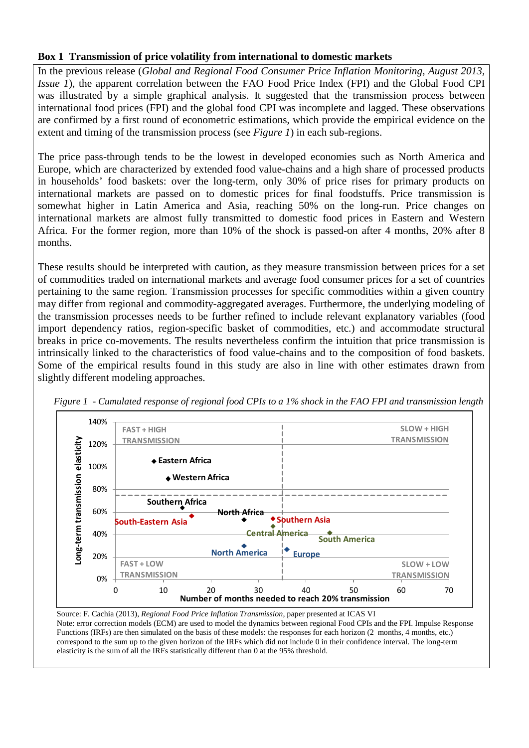#### **Box 1 Transmission of price volatility from international to domestic markets**

In the previous release (*Global and Regional Food Consumer Price Inflation Monitoring, August 2013, Issue 1*), the apparent correlation between the FAO Food Price Index (FPI) and the Global Food CPI was illustrated by a simple graphical analysis. It suggested that the transmission process between international food prices (FPI) and the global food CPI was incomplete and lagged. These observations are confirmed by a first round of econometric estimations, which provide the empirical evidence on the extent and timing of the transmission process (see *Figure 1*) in each sub-regions.

The price pass-through tends to be the lowest in developed economies such as North America and Europe, which are characterized by extended food value-chains and a high share of processed products in households' food baskets: over the long-term, only 30% of price rises for primary products on international markets are passed on to domestic prices for final foodstuffs. Price transmission is somewhat higher in Latin America and Asia, reaching 50% on the long-run. Price changes on international markets are almost fully transmitted to domestic food prices in Eastern and Western Africa. For the former region, more than 10% of the shock is passed-on after 4 months, 20% after 8 months.

These results should be interpreted with caution, as they measure transmission between prices for a set of commodities traded on international markets and average food consumer prices for a set of countries pertaining to the same region. Transmission processes for specific commodities within a given country may differ from regional and commodity-aggregated averages. Furthermore, the underlying modeling of the transmission processes needs to be further refined to include relevant explanatory variables (food import dependency ratios, region-specific basket of commodities, etc.) and accommodate structural breaks in price co-movements. The results nevertheless confirm the intuition that price transmission is intrinsically linked to the characteristics of food value-chains and to the composition of food baskets. Some of the empirical results found in this study are also in line with other estimates drawn from slightly different modeling approaches.





Source: F. Cachia (2013), *Regional Food Price Inflation Transmission*, paper presented at ICAS VI Note: error correction models (ECM) are used to model the dynamics between regional Food CPIs and the FPI. Impulse Response Functions (IRFs) are then simulated on the basis of these models: the responses for each horizon (2 months, 4 months, etc.) correspond to the sum up to the given horizon of the IRFs which did not include 0 in their confidence interval. The long-term elasticity is the sum of all the IRFs statistically different than 0 at the 95% threshold.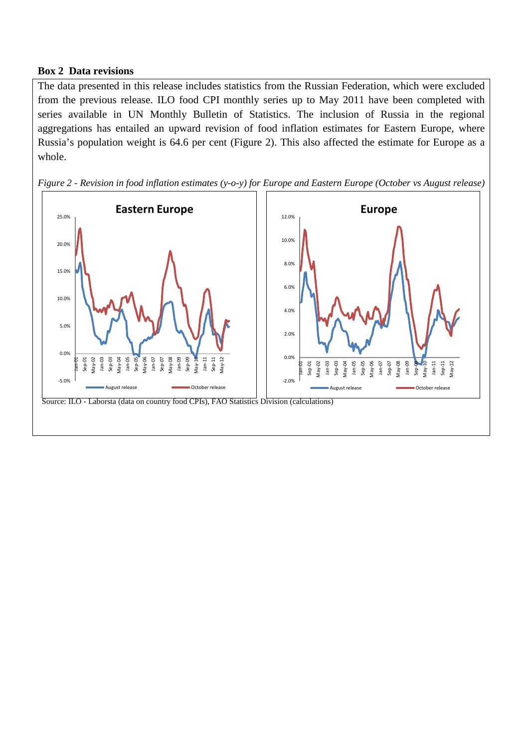#### **Box 2 Data revisions**

The data presented in this release includes statistics from the Russian Federation, which were excluded from the previous release. ILO food CPI monthly series up to May 2011 have been completed with series available in UN Monthly Bulletin of Statistics. The inclusion of Russia in the regional aggregations has entailed an upward revision of food inflation estimates for Eastern Europe, where Russia's population weight is 64.6 per cent (Figure 2). This also affected the estimate for Europe as a whole.



*Figure 2 - Revision in food inflation estimates (y-o-y) for Europe and Eastern Europe (October vs August release)*